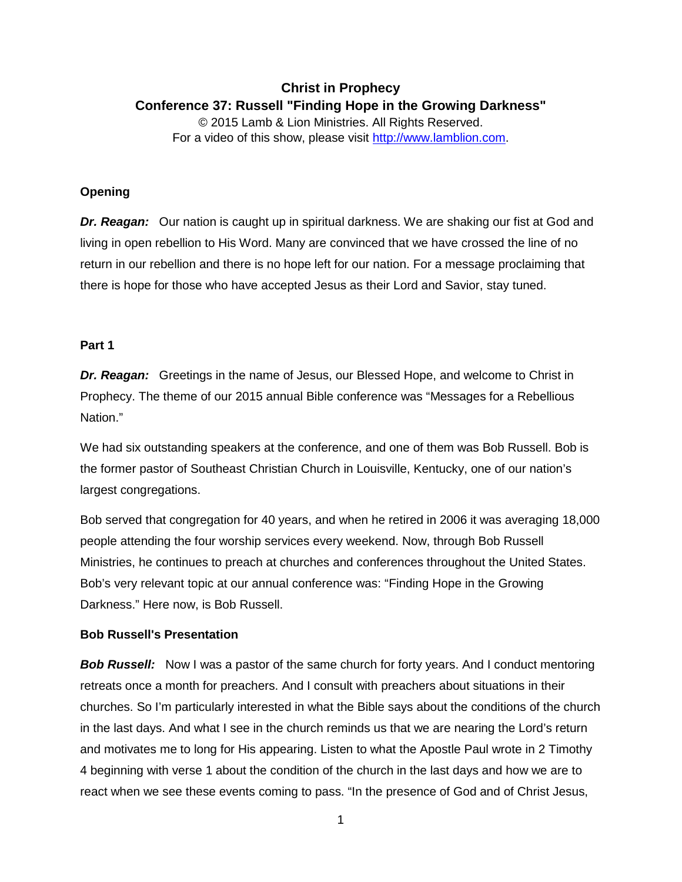# **Christ in Prophecy Conference 37: Russell "Finding Hope in the Growing Darkness"**

© 2015 Lamb & Lion Ministries. All Rights Reserved. For a video of this show, please visit [http://www.lamblion.com.](http://www.lamblion.com/)

## **Opening**

**Dr. Reagan:** Our nation is caught up in spiritual darkness. We are shaking our fist at God and living in open rebellion to His Word. Many are convinced that we have crossed the line of no return in our rebellion and there is no hope left for our nation. For a message proclaiming that there is hope for those who have accepted Jesus as their Lord and Savior, stay tuned.

### **Part 1**

**Dr. Reagan:** Greetings in the name of Jesus, our Blessed Hope, and welcome to Christ in Prophecy. The theme of our 2015 annual Bible conference was "Messages for a Rebellious Nation."

We had six outstanding speakers at the conference, and one of them was Bob Russell. Bob is the former pastor of Southeast Christian Church in Louisville, Kentucky, one of our nation's largest congregations.

Bob served that congregation for 40 years, and when he retired in 2006 it was averaging 18,000 people attending the four worship services every weekend. Now, through Bob Russell Ministries, he continues to preach at churches and conferences throughout the United States. Bob's very relevant topic at our annual conference was: "Finding Hope in the Growing Darkness." Here now, is Bob Russell.

### **Bob Russell's Presentation**

**Bob Russell:** Now I was a pastor of the same church for forty years. And I conduct mentoring retreats once a month for preachers. And I consult with preachers about situations in their churches. So I'm particularly interested in what the Bible says about the conditions of the church in the last days. And what I see in the church reminds us that we are nearing the Lord's return and motivates me to long for His appearing. Listen to what the Apostle Paul wrote in 2 Timothy 4 beginning with verse 1 about the condition of the church in the last days and how we are to react when we see these events coming to pass. "In the presence of God and of Christ Jesus,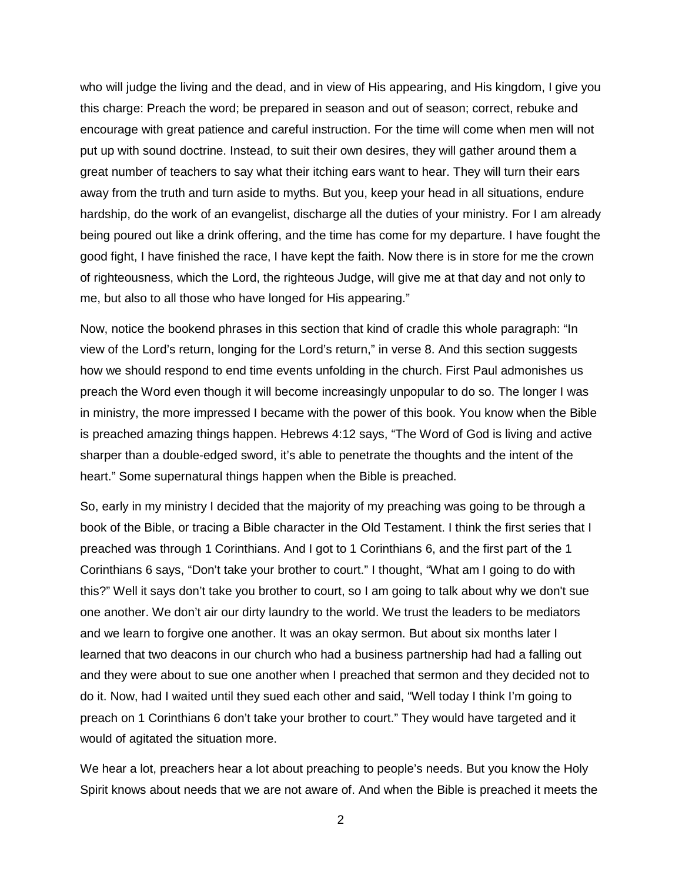who will judge the living and the dead, and in view of His appearing, and His kingdom, I give you this charge: Preach the word; be prepared in season and out of season; correct, rebuke and encourage with great patience and careful instruction. For the time will come when men will not put up with sound doctrine. Instead, to suit their own desires, they will gather around them a great number of teachers to say what their itching ears want to hear. They will turn their ears away from the truth and turn aside to myths. But you, keep your head in all situations, endure hardship, do the work of an evangelist, discharge all the duties of your ministry. For I am already being poured out like a drink offering, and the time has come for my departure. I have fought the good fight, I have finished the race, I have kept the faith. Now there is in store for me the crown of righteousness, which the Lord, the righteous Judge, will give me at that day and not only to me, but also to all those who have longed for His appearing."

Now, notice the bookend phrases in this section that kind of cradle this whole paragraph: "In view of the Lord's return, longing for the Lord's return," in verse 8. And this section suggests how we should respond to end time events unfolding in the church. First Paul admonishes us preach the Word even though it will become increasingly unpopular to do so. The longer I was in ministry, the more impressed I became with the power of this book. You know when the Bible is preached amazing things happen. Hebrews 4:12 says, "The Word of God is living and active sharper than a double-edged sword, it's able to penetrate the thoughts and the intent of the heart." Some supernatural things happen when the Bible is preached.

So, early in my ministry I decided that the majority of my preaching was going to be through a book of the Bible, or tracing a Bible character in the Old Testament. I think the first series that I preached was through 1 Corinthians. And I got to 1 Corinthians 6, and the first part of the 1 Corinthians 6 says, "Don't take your brother to court." I thought, "What am I going to do with this?" Well it says don't take you brother to court, so I am going to talk about why we don't sue one another. We don't air our dirty laundry to the world. We trust the leaders to be mediators and we learn to forgive one another. It was an okay sermon. But about six months later I learned that two deacons in our church who had a business partnership had had a falling out and they were about to sue one another when I preached that sermon and they decided not to do it. Now, had I waited until they sued each other and said, "Well today I think I'm going to preach on 1 Corinthians 6 don't take your brother to court." They would have targeted and it would of agitated the situation more.

We hear a lot, preachers hear a lot about preaching to people's needs. But you know the Holy Spirit knows about needs that we are not aware of. And when the Bible is preached it meets the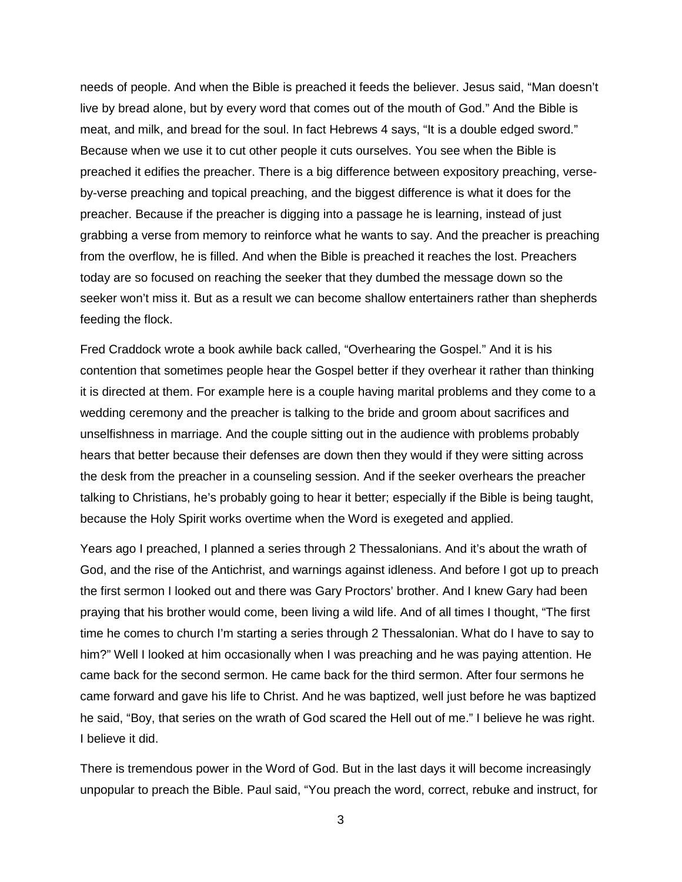needs of people. And when the Bible is preached it feeds the believer. Jesus said, "Man doesn't live by bread alone, but by every word that comes out of the mouth of God." And the Bible is meat, and milk, and bread for the soul. In fact Hebrews 4 says, "It is a double edged sword." Because when we use it to cut other people it cuts ourselves. You see when the Bible is preached it edifies the preacher. There is a big difference between expository preaching, verseby-verse preaching and topical preaching, and the biggest difference is what it does for the preacher. Because if the preacher is digging into a passage he is learning, instead of just grabbing a verse from memory to reinforce what he wants to say. And the preacher is preaching from the overflow, he is filled. And when the Bible is preached it reaches the lost. Preachers today are so focused on reaching the seeker that they dumbed the message down so the seeker won't miss it. But as a result we can become shallow entertainers rather than shepherds feeding the flock.

Fred Craddock wrote a book awhile back called, "Overhearing the Gospel." And it is his contention that sometimes people hear the Gospel better if they overhear it rather than thinking it is directed at them. For example here is a couple having marital problems and they come to a wedding ceremony and the preacher is talking to the bride and groom about sacrifices and unselfishness in marriage. And the couple sitting out in the audience with problems probably hears that better because their defenses are down then they would if they were sitting across the desk from the preacher in a counseling session. And if the seeker overhears the preacher talking to Christians, he's probably going to hear it better; especially if the Bible is being taught, because the Holy Spirit works overtime when the Word is exegeted and applied.

Years ago I preached, I planned a series through 2 Thessalonians. And it's about the wrath of God, and the rise of the Antichrist, and warnings against idleness. And before I got up to preach the first sermon I looked out and there was Gary Proctors' brother. And I knew Gary had been praying that his brother would come, been living a wild life. And of all times I thought, "The first time he comes to church I'm starting a series through 2 Thessalonian. What do I have to say to him?" Well I looked at him occasionally when I was preaching and he was paying attention. He came back for the second sermon. He came back for the third sermon. After four sermons he came forward and gave his life to Christ. And he was baptized, well just before he was baptized he said, "Boy, that series on the wrath of God scared the Hell out of me." I believe he was right. I believe it did.

There is tremendous power in the Word of God. But in the last days it will become increasingly unpopular to preach the Bible. Paul said, "You preach the word, correct, rebuke and instruct, for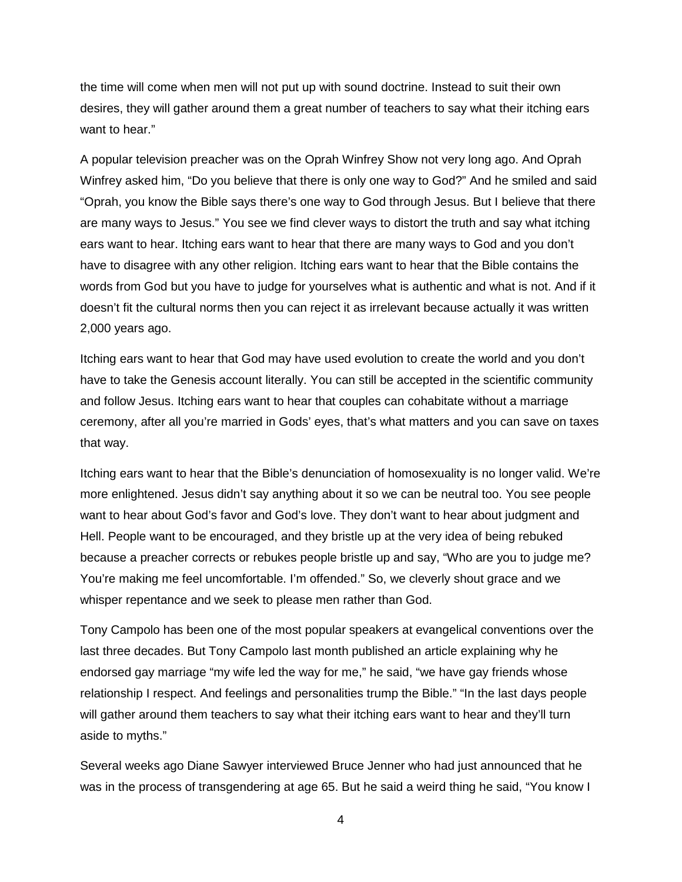the time will come when men will not put up with sound doctrine. Instead to suit their own desires, they will gather around them a great number of teachers to say what their itching ears want to hear."

A popular television preacher was on the Oprah Winfrey Show not very long ago. And Oprah Winfrey asked him, "Do you believe that there is only one way to God?" And he smiled and said "Oprah, you know the Bible says there's one way to God through Jesus. But I believe that there are many ways to Jesus." You see we find clever ways to distort the truth and say what itching ears want to hear. Itching ears want to hear that there are many ways to God and you don't have to disagree with any other religion. Itching ears want to hear that the Bible contains the words from God but you have to judge for yourselves what is authentic and what is not. And if it doesn't fit the cultural norms then you can reject it as irrelevant because actually it was written 2,000 years ago.

Itching ears want to hear that God may have used evolution to create the world and you don't have to take the Genesis account literally. You can still be accepted in the scientific community and follow Jesus. Itching ears want to hear that couples can cohabitate without a marriage ceremony, after all you're married in Gods' eyes, that's what matters and you can save on taxes that way.

Itching ears want to hear that the Bible's denunciation of homosexuality is no longer valid. We're more enlightened. Jesus didn't say anything about it so we can be neutral too. You see people want to hear about God's favor and God's love. They don't want to hear about judgment and Hell. People want to be encouraged, and they bristle up at the very idea of being rebuked because a preacher corrects or rebukes people bristle up and say, "Who are you to judge me? You're making me feel uncomfortable. I'm offended." So, we cleverly shout grace and we whisper repentance and we seek to please men rather than God.

Tony Campolo has been one of the most popular speakers at evangelical conventions over the last three decades. But Tony Campolo last month published an article explaining why he endorsed gay marriage "my wife led the way for me," he said, "we have gay friends whose relationship I respect. And feelings and personalities trump the Bible." "In the last days people will gather around them teachers to say what their itching ears want to hear and they'll turn aside to myths."

Several weeks ago Diane Sawyer interviewed Bruce Jenner who had just announced that he was in the process of transgendering at age 65. But he said a weird thing he said, "You know I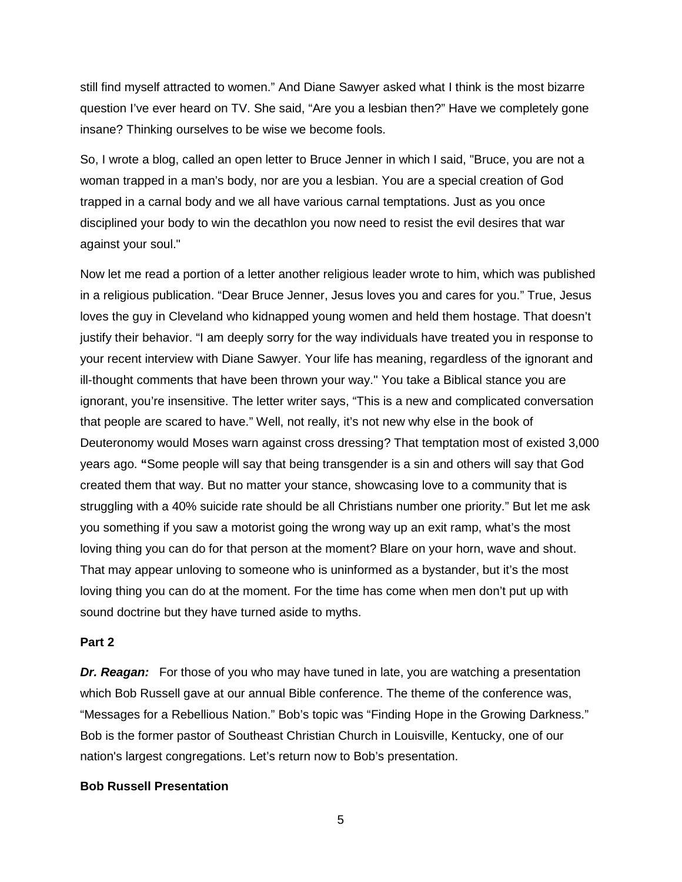still find myself attracted to women." And Diane Sawyer asked what I think is the most bizarre question I've ever heard on TV. She said, "Are you a lesbian then?" Have we completely gone insane? Thinking ourselves to be wise we become fools.

So, I wrote a blog, called an open letter to Bruce Jenner in which I said, "Bruce, you are not a woman trapped in a man's body, nor are you a lesbian. You are a special creation of God trapped in a carnal body and we all have various carnal temptations. Just as you once disciplined your body to win the decathlon you now need to resist the evil desires that war against your soul."

Now let me read a portion of a letter another religious leader wrote to him, which was published in a religious publication. "Dear Bruce Jenner, Jesus loves you and cares for you." True, Jesus loves the guy in Cleveland who kidnapped young women and held them hostage. That doesn't justify their behavior. "I am deeply sorry for the way individuals have treated you in response to your recent interview with Diane Sawyer. Your life has meaning, regardless of the ignorant and ill-thought comments that have been thrown your way." You take a Biblical stance you are ignorant, you're insensitive. The letter writer says, "This is a new and complicated conversation that people are scared to have." Well, not really, it's not new why else in the book of Deuteronomy would Moses warn against cross dressing? That temptation most of existed 3,000 years ago. **"**Some people will say that being transgender is a sin and others will say that God created them that way. But no matter your stance, showcasing love to a community that is struggling with a 40% suicide rate should be all Christians number one priority." But let me ask you something if you saw a motorist going the wrong way up an exit ramp, what's the most loving thing you can do for that person at the moment? Blare on your horn, wave and shout. That may appear unloving to someone who is uninformed as a bystander, but it's the most loving thing you can do at the moment. For the time has come when men don't put up with sound doctrine but they have turned aside to myths.

#### **Part 2**

**Dr. Reagan:** For those of you who may have tuned in late, you are watching a presentation which Bob Russell gave at our annual Bible conference. The theme of the conference was, "Messages for a Rebellious Nation." Bob's topic was "Finding Hope in the Growing Darkness." Bob is the former pastor of Southeast Christian Church in Louisville, Kentucky, one of our nation's largest congregations. Let's return now to Bob's presentation.

#### **Bob Russell Presentation**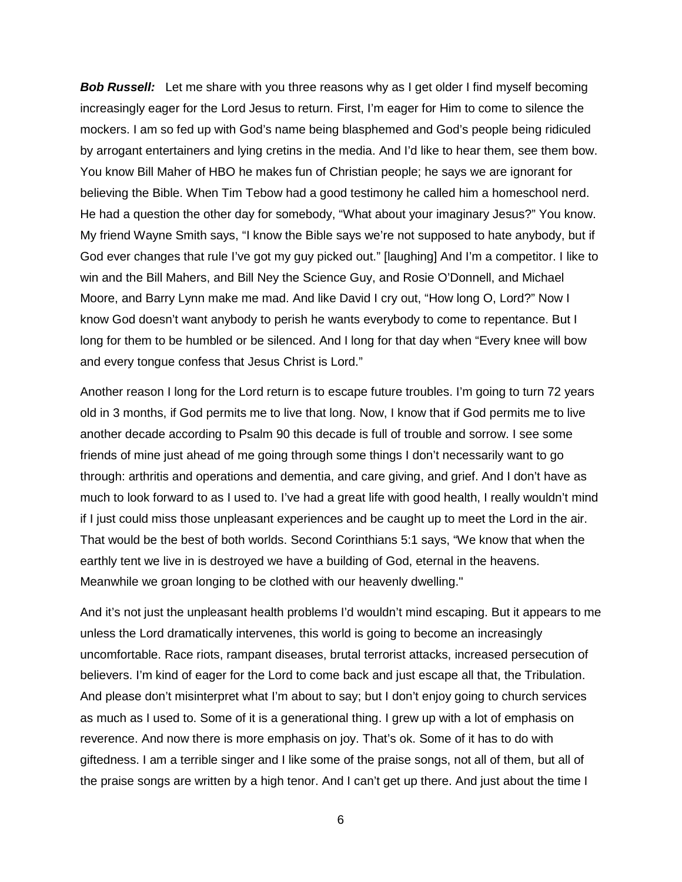**Bob Russell:** Let me share with you three reasons why as I get older I find myself becoming increasingly eager for the Lord Jesus to return. First, I'm eager for Him to come to silence the mockers. I am so fed up with God's name being blasphemed and God's people being ridiculed by arrogant entertainers and lying cretins in the media. And I'd like to hear them, see them bow. You know Bill Maher of HBO he makes fun of Christian people; he says we are ignorant for believing the Bible. When Tim Tebow had a good testimony he called him a homeschool nerd. He had a question the other day for somebody, "What about your imaginary Jesus?" You know. My friend Wayne Smith says, "I know the Bible says we're not supposed to hate anybody, but if God ever changes that rule I've got my guy picked out." [laughing] And I'm a competitor. I like to win and the Bill Mahers, and Bill Ney the Science Guy, and Rosie O'Donnell, and Michael Moore, and Barry Lynn make me mad. And like David I cry out, "How long O, Lord?" Now I know God doesn't want anybody to perish he wants everybody to come to repentance. But I long for them to be humbled or be silenced. And I long for that day when "Every knee will bow and every tongue confess that Jesus Christ is Lord."

Another reason I long for the Lord return is to escape future troubles. I'm going to turn 72 years old in 3 months, if God permits me to live that long. Now, I know that if God permits me to live another decade according to Psalm 90 this decade is full of trouble and sorrow. I see some friends of mine just ahead of me going through some things I don't necessarily want to go through: arthritis and operations and dementia, and care giving, and grief. And I don't have as much to look forward to as I used to. I've had a great life with good health, I really wouldn't mind if I just could miss those unpleasant experiences and be caught up to meet the Lord in the air. That would be the best of both worlds. Second Corinthians 5:1 says, "We know that when the earthly tent we live in is destroyed we have a building of God, eternal in the heavens. Meanwhile we groan longing to be clothed with our heavenly dwelling."

And it's not just the unpleasant health problems I'd wouldn't mind escaping. But it appears to me unless the Lord dramatically intervenes, this world is going to become an increasingly uncomfortable. Race riots, rampant diseases, brutal terrorist attacks, increased persecution of believers. I'm kind of eager for the Lord to come back and just escape all that, the Tribulation. And please don't misinterpret what I'm about to say; but I don't enjoy going to church services as much as I used to. Some of it is a generational thing. I grew up with a lot of emphasis on reverence. And now there is more emphasis on joy. That's ok. Some of it has to do with giftedness. I am a terrible singer and I like some of the praise songs, not all of them, but all of the praise songs are written by a high tenor. And I can't get up there. And just about the time I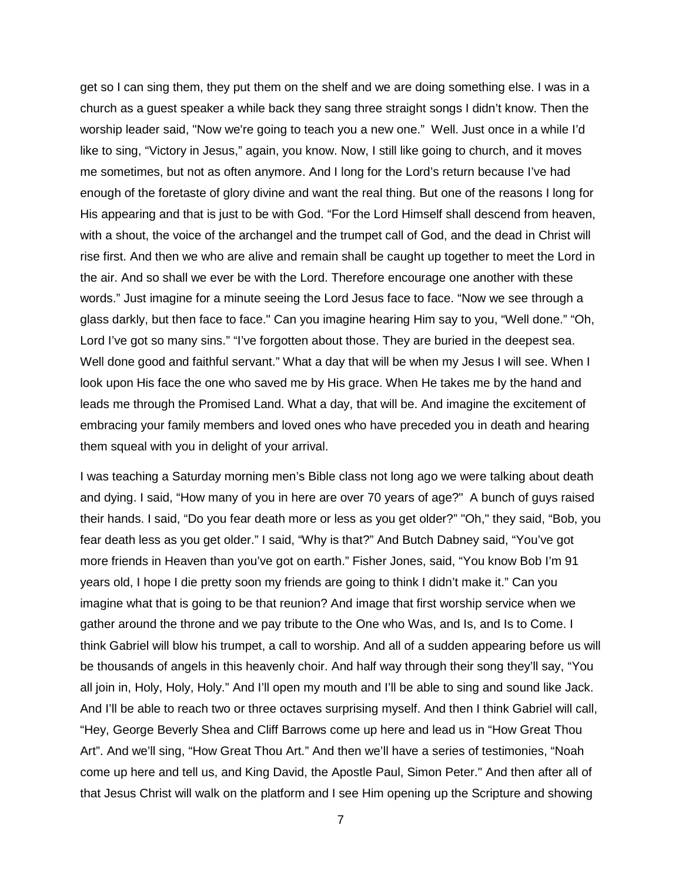get so I can sing them, they put them on the shelf and we are doing something else. I was in a church as a guest speaker a while back they sang three straight songs I didn't know. Then the worship leader said, "Now we're going to teach you a new one." Well. Just once in a while I'd like to sing, "Victory in Jesus," again, you know. Now, I still like going to church, and it moves me sometimes, but not as often anymore. And I long for the Lord's return because I've had enough of the foretaste of glory divine and want the real thing. But one of the reasons I long for His appearing and that is just to be with God. "For the Lord Himself shall descend from heaven, with a shout, the voice of the archangel and the trumpet call of God, and the dead in Christ will rise first. And then we who are alive and remain shall be caught up together to meet the Lord in the air. And so shall we ever be with the Lord. Therefore encourage one another with these words." Just imagine for a minute seeing the Lord Jesus face to face. "Now we see through a glass darkly, but then face to face." Can you imagine hearing Him say to you, "Well done." "Oh, Lord I've got so many sins." "I've forgotten about those. They are buried in the deepest sea. Well done good and faithful servant." What a day that will be when my Jesus I will see. When I look upon His face the one who saved me by His grace. When He takes me by the hand and leads me through the Promised Land. What a day, that will be. And imagine the excitement of embracing your family members and loved ones who have preceded you in death and hearing them squeal with you in delight of your arrival.

I was teaching a Saturday morning men's Bible class not long ago we were talking about death and dying. I said, "How many of you in here are over 70 years of age?" A bunch of guys raised their hands. I said, "Do you fear death more or less as you get older?" "Oh," they said, "Bob, you fear death less as you get older." I said, "Why is that?" And Butch Dabney said, "You've got more friends in Heaven than you've got on earth." Fisher Jones, said, "You know Bob I'm 91 years old, I hope I die pretty soon my friends are going to think I didn't make it." Can you imagine what that is going to be that reunion? And image that first worship service when we gather around the throne and we pay tribute to the One who Was, and Is, and Is to Come. I think Gabriel will blow his trumpet, a call to worship. And all of a sudden appearing before us will be thousands of angels in this heavenly choir. And half way through their song they'll say, "You all join in, Holy, Holy, Holy." And I'll open my mouth and I'll be able to sing and sound like Jack. And I'll be able to reach two or three octaves surprising myself. And then I think Gabriel will call, "Hey, George Beverly Shea and Cliff Barrows come up here and lead us in "How Great Thou Art". And we'll sing, "How Great Thou Art." And then we'll have a series of testimonies, "Noah come up here and tell us, and King David, the Apostle Paul, Simon Peter." And then after all of that Jesus Christ will walk on the platform and I see Him opening up the Scripture and showing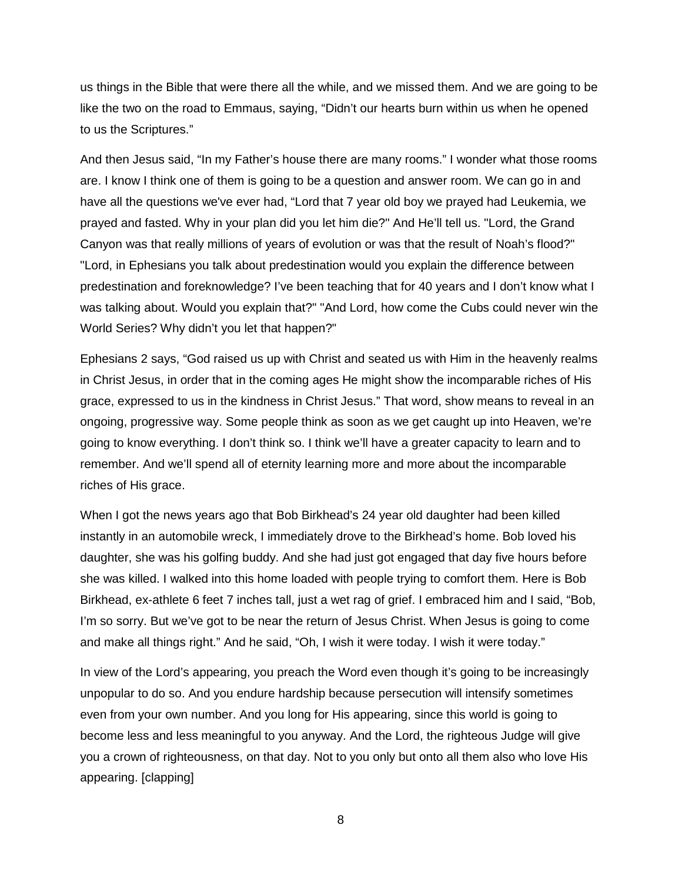us things in the Bible that were there all the while, and we missed them. And we are going to be like the two on the road to Emmaus, saying, "Didn't our hearts burn within us when he opened to us the Scriptures."

And then Jesus said, "In my Father's house there are many rooms." I wonder what those rooms are. I know I think one of them is going to be a question and answer room. We can go in and have all the questions we've ever had, "Lord that 7 year old boy we prayed had Leukemia, we prayed and fasted. Why in your plan did you let him die?" And He'll tell us. "Lord, the Grand Canyon was that really millions of years of evolution or was that the result of Noah's flood?" "Lord, in Ephesians you talk about predestination would you explain the difference between predestination and foreknowledge? I've been teaching that for 40 years and I don't know what I was talking about. Would you explain that?" "And Lord, how come the Cubs could never win the World Series? Why didn't you let that happen?"

Ephesians 2 says, "God raised us up with Christ and seated us with Him in the heavenly realms in Christ Jesus, in order that in the coming ages He might show the incomparable riches of His grace, expressed to us in the kindness in Christ Jesus." That word, show means to reveal in an ongoing, progressive way. Some people think as soon as we get caught up into Heaven, we're going to know everything. I don't think so. I think we'll have a greater capacity to learn and to remember. And we'll spend all of eternity learning more and more about the incomparable riches of His grace.

When I got the news years ago that Bob Birkhead's 24 year old daughter had been killed instantly in an automobile wreck, I immediately drove to the Birkhead's home. Bob loved his daughter, she was his golfing buddy. And she had just got engaged that day five hours before she was killed. I walked into this home loaded with people trying to comfort them. Here is Bob Birkhead, ex-athlete 6 feet 7 inches tall, just a wet rag of grief. I embraced him and I said, "Bob, I'm so sorry. But we've got to be near the return of Jesus Christ. When Jesus is going to come and make all things right." And he said, "Oh, I wish it were today. I wish it were today."

In view of the Lord's appearing, you preach the Word even though it's going to be increasingly unpopular to do so. And you endure hardship because persecution will intensify sometimes even from your own number. And you long for His appearing, since this world is going to become less and less meaningful to you anyway. And the Lord, the righteous Judge will give you a crown of righteousness, on that day. Not to you only but onto all them also who love His appearing. [clapping]